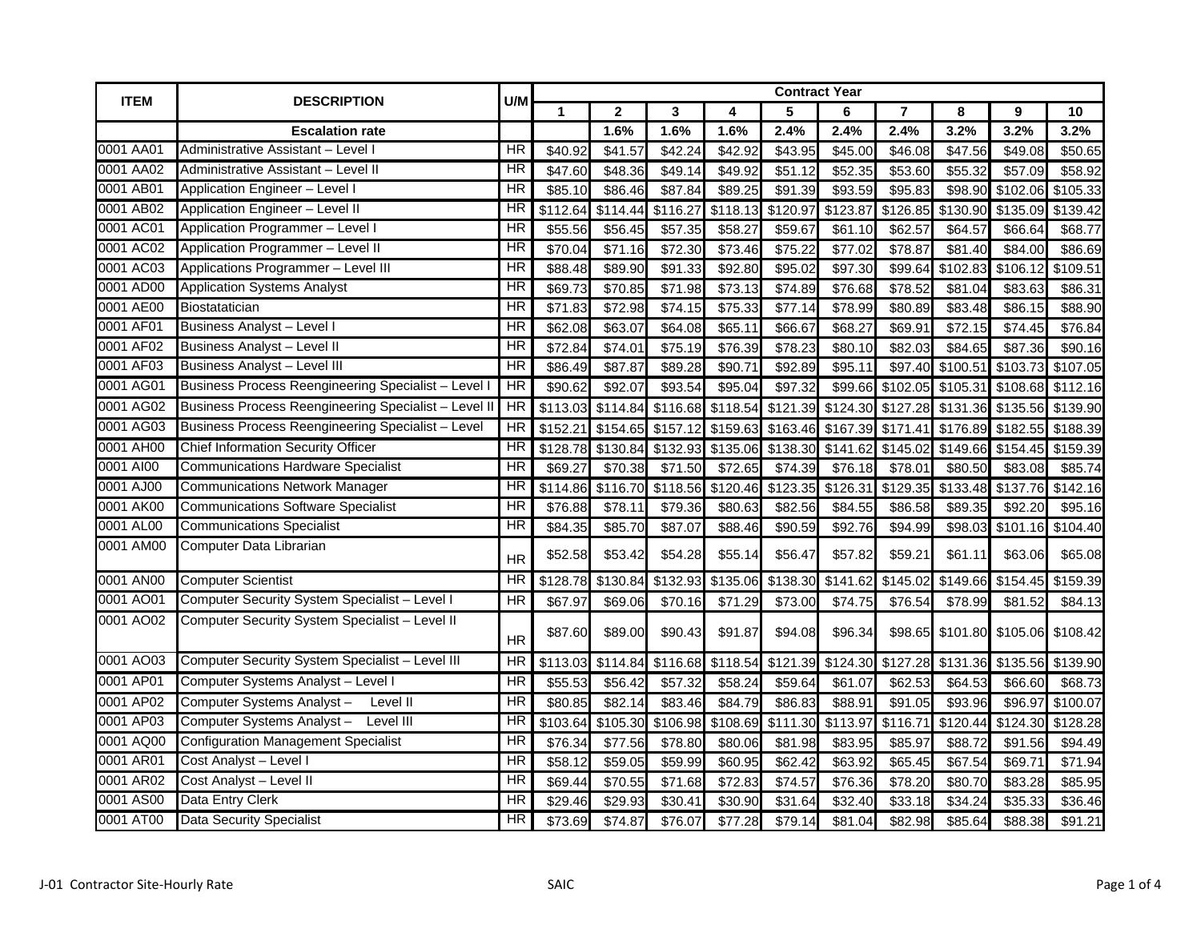| <b>ITEM</b> | <b>DESCRIPTION</b>                                   | U/M                      |          |                   |          |          |          | <b>Contract Year</b> |                   |          |                                     |                   |  |
|-------------|------------------------------------------------------|--------------------------|----------|-------------------|----------|----------|----------|----------------------|-------------------|----------|-------------------------------------|-------------------|--|
|             |                                                      |                          | 1        | $\mathbf{2}$      | 3        | 4        | 5        | 6                    | 7                 | 8        | 9                                   | 10                |  |
|             | <b>Escalation rate</b>                               |                          |          | 1.6%              | 1.6%     | 1.6%     | 2.4%     | 2.4%                 | 2.4%              | 3.2%     | 3.2%                                | 3.2%              |  |
| 0001 AA01   | Administrative Assistant - Level I                   | ΗR                       | \$40.92  | \$41.57           | \$42.24  | \$42.92  | \$43.95  | \$45.00              | \$46.08           | \$47.56  | \$49.08                             | \$50.65           |  |
| 0001 AA02   | Administrative Assistant - Level II                  | HR                       | \$47.60  | \$48.36           | \$49.14  | \$49.92  | \$51.12  | \$52.35              | \$53.60           | \$55.32  | \$57.09                             | \$58.92           |  |
| 0001 AB01   | Application Engineer - Level I                       | HR                       | \$85.10  | \$86.46           | \$87.84  | \$89.25  | \$91.39  | \$93.59              | \$95.83           | \$98.90  | \$102.06                            | \$105.33          |  |
| 0001 AB02   | Application Engineer - Level II                      | HR                       | \$112.64 | \$114.44          | \$116.27 | \$118.13 | \$120.97 | \$123.87             | \$126.85          | \$130.90 | \$135.09                            | \$139.42          |  |
| 0001 AC01   | Application Programmer - Level I                     | HR                       | \$55.56  | \$56.45           | \$57.35  | \$58.27  | \$59.67  | \$61.10              | \$62.57           | \$64.57  | \$66.64                             | \$68.77           |  |
| 0001 AC02   | Application Programmer - Level II                    | HR                       | \$70.04  | \$71.16           | \$72.30  | 373.46   | \$75.22  | \$77.02              | \$78.87           | \$81.40  | \$84.00                             | \$86.69           |  |
| 0001 AC03   | Applications Programmer - Level III                  | $\overline{\mathsf{HR}}$ | \$88.48  | \$89.90           | \$91.33  | \$92.80  | \$95.02  | \$97.30              | \$99.64           | \$102.83 | \$106.12                            | \$109.51          |  |
| 0001 AD00   | <b>Application Systems Analyst</b>                   | HR                       | \$69.73  | \$70.85           | \$71.98  | \$73.13  | \$74.89  | \$76.68              | \$78.52           | \$81.04  | \$83.63                             | \$86.31           |  |
| 0001 AE00   | Biostatatician                                       | HR                       | \$71.83  | \$72.98           | \$74.15  | \$75.33  | \$77.14  | \$78.99              | \$80.89           | \$83.48  | \$86.15                             | \$88.90           |  |
| 0001 AF01   | <b>Business Analyst - Level I</b>                    | HR                       | \$62.08  | \$63.07           | \$64.08  | \$65.11  | \$66.67  | \$68.27              | \$69.91           | \$72.15  | \$74.45                             | \$76.84           |  |
| 0001 AF02   | <b>Business Analyst - Level II</b>                   | ΗR                       | \$72.84  | \$74.01           | \$75.19  | \$76.39  | \$78.23  | \$80.10              | \$82.03           | \$84.65  | \$87.36                             | \$90.16           |  |
| 0001 AF03   | <b>Business Analyst - Level III</b>                  | <b>HR</b>                | \$86.49  | \$87.87           | \$89.28  | \$90.71  | \$92.89  | \$95.11              | \$97.40           | \$100.51 | \$103.73                            | \$107.05          |  |
| 0001 AG01   | Business Process Reengineering Specialist - Level    | HR                       | \$90.62  | \$92.07           | \$93.54  | \$95.04  | \$97.32  | \$99.66              | \$102.05          | \$105.31 |                                     | \$108.68 \$112.16 |  |
| 0001 AG02   | Business Process Reengineering Specialist - Level II | HR                       |          | \$113.03 \$114.84 | \$116.68 | \$118.54 | \$121.39 |                      | \$124.30 \$127.28 | \$131.36 | \$135.56                            | \$139.90          |  |
| 0001 AG03   | Business Process Reengineering Specialist - Level    | <b>HR</b>                | \$152.21 | \$154.65          | \$157.12 | \$159.63 | \$163.46 |                      |                   |          | \$167.39 \$171.41 \$176.89 \$182.55 | \$188.39          |  |
| 0001 AH00   | <b>Chief Information Security Officer</b>            | <b>HR</b>                |          | \$128.78 \$130.84 | \$132.93 | \$135.06 | \$138.30 | \$141.62             | \$145.02          |          | \$149.66 \$154.45                   | \$159.39          |  |
| 0001 AI00   | <b>Communications Hardware Specialist</b>            | HR                       | \$69.27  | \$70.38           | \$71.50  | \$72.65  | \$74.39  | \$76.18              | \$78.01           | \$80.50  | \$83.08                             | \$85.74           |  |
| 0001 AJ00   | <b>Communications Network Manager</b>                | ΗR                       | \$114.86 | \$116.70          | \$118.56 | \$120.46 | \$123.35 | \$126.31             | \$129.35          | \$133.48 | \$137.76                            | \$142.16          |  |
| 0001 AK00   | <b>Communications Software Specialist</b>            | HR                       | \$76.88  | \$78.11           | \$79.36  | \$80.63  | \$82.56  | \$84.55              | \$86.58           | \$89.35  | \$92.20                             | \$95.16           |  |
| 0001 AL00   | <b>Communications Specialist</b>                     | HR                       | \$84.35  | \$85.70           | \$87.07  | \$88.46  | \$90.59  | \$92.76              | \$94.99           | \$98.03  | \$101.16                            | \$104.40          |  |
| 0001 AM00   | Computer Data Librarian                              | <b>HR</b>                | \$52.58  | \$53.42           | \$54.28  | \$55.14  | \$56.47  | \$57.82              | \$59.21           | \$61.11  | \$63.06                             | \$65.08           |  |
| 0001 AN00   | <b>Computer Scientist</b>                            | HR                       | \$128.78 | \$130.84          | \$132.93 | \$135.06 | \$138.30 | \$141.62             | \$145.02          | \$149.66 | \$154.45                            | \$159.39          |  |
| 0001 AO01   | Computer Security System Specialist - Level I        | HR                       | \$67.97  | \$69.06           | \$70.16  | \$71.29  | \$73.00  | \$74.75              | \$76.54           | \$78.99  | \$81.52                             | \$84.13           |  |
| 0001 AO02   | Computer Security System Specialist - Level II       | <b>HR</b>                | \$87.60  | \$89.00           | \$90.43  | \$91.87  | \$94.08  | \$96.34              | \$98.65           |          | \$101.80 \$105.06 \$108.42          |                   |  |
| 0001 AO03   | Computer Security System Specialist - Level III      | HR                       | \$113.03 | \$114.84          | \$116.68 | \$118.54 | \$121.39 | \$124.30             | \$127.28          |          | \$131.36 \$135.56                   | \$139.90          |  |
| 0001 AP01   | Computer Systems Analyst - Level I                   | ΗR                       | \$55.53  | \$56.42           | \$57.32  | \$58.24  | \$59.64  | \$61.07              | \$62.53           | \$64.53  | \$66.60                             | \$68.73           |  |
| 0001 AP02   | Computer Systems Analyst-<br>Level II                | $\overline{\mathsf{HR}}$ | \$80.85  | \$82.14           | \$83.46  | \$84.79  | \$86.83  | \$88.91              | \$91.05           | \$93.96  | \$96.97                             | \$100.07          |  |
| 0001 AP03   | Computer Systems Analyst - Level III                 | $\overline{HR}$          | \$103.64 | \$105.30          | \$106.98 | \$108.69 | \$111.30 | $\overline{$}113.97$ | \$116.71          | \$120.44 | \$124.30                            | \$128.28          |  |
| 0001 AQ00   | <b>Configuration Management Specialist</b>           | HR                       | \$76.34  | \$77.56           | \$78.80  | \$80.06  | \$81.98  | \$83.95              | \$85.97           | \$88.72  | \$91.56                             | \$94.49           |  |
| 0001 AR01   | Cost Analyst - Level I                               | HR                       | \$58.12  | \$59.05           | \$59.99  | \$60.95  | \$62.42  | \$63.92              | \$65.45           | \$67.54  | \$69.71                             | \$71.94           |  |
| 0001 AR02   | Cost Analyst - Level II                              | HR                       | \$69.44  | \$70.55           | \$71.68  | \$72.83  | \$74.57  | \$76.36              | \$78.20           | \$80.70  | \$83.28                             | \$85.95           |  |
| 0001 AS00   | Data Entry Clerk                                     | ΗR                       | \$29.46  | \$29.93           | \$30.41  | \$30.90  | \$31.64  | \$32.40              | \$33.18           | \$34.24  | \$35.33                             | \$36.46           |  |
| 0001 AT00   | <b>Data Security Specialist</b>                      | HR                       | \$73.69  | \$74.87           | \$76.07  | \$77.28  | \$79.14  | \$81.04              | \$82.98           | \$85.64  | \$88.38                             | \$91.21           |  |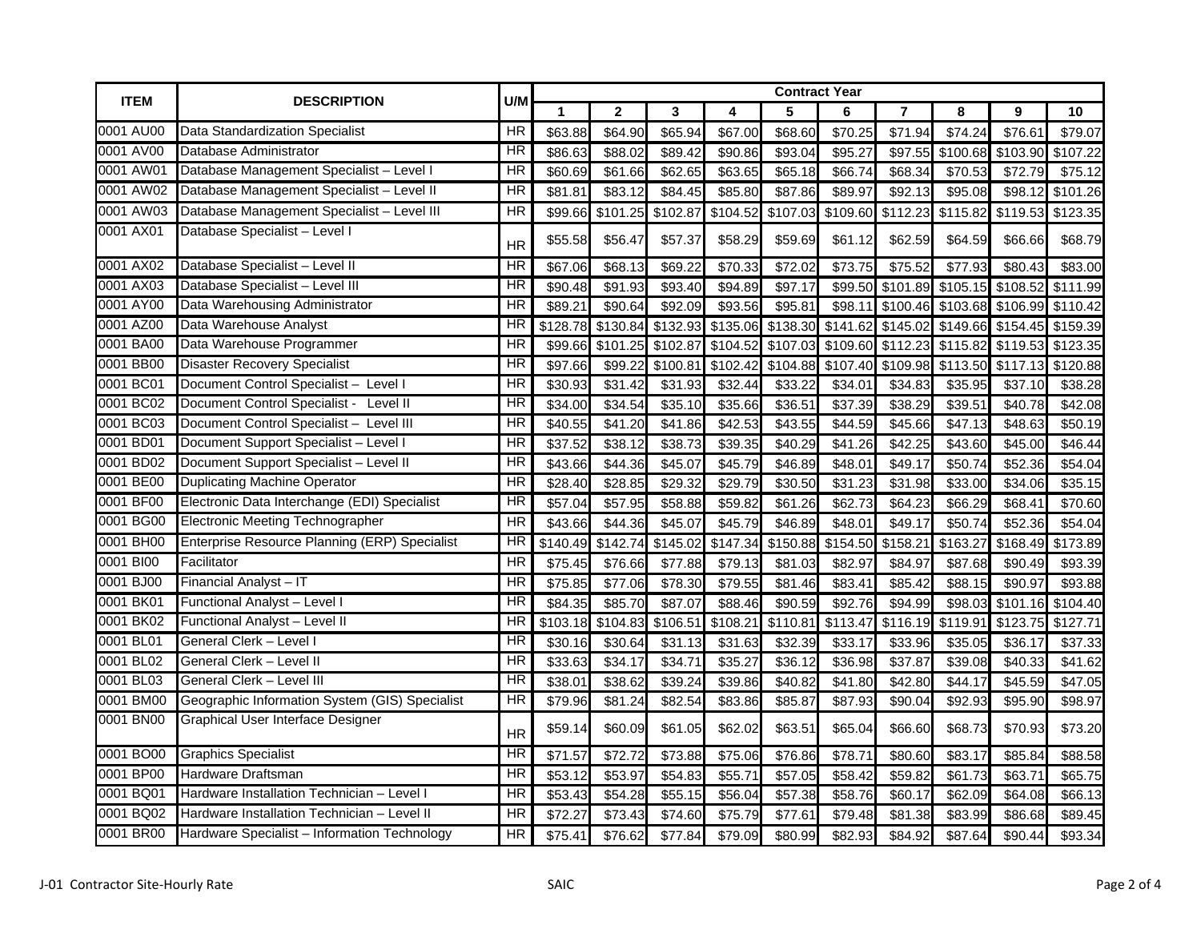| <b>ITEM</b> | <b>DESCRIPTION</b>                             | U/M                    |          |              |          |          |          | <b>Contract Year</b> |                |          |          |          |  |
|-------------|------------------------------------------------|------------------------|----------|--------------|----------|----------|----------|----------------------|----------------|----------|----------|----------|--|
|             |                                                |                        | 1        | $\mathbf{2}$ | 3        | 4        | 5        | 6                    | $\overline{7}$ | 8        | 9        | 10       |  |
| 0001 AU00   | Data Standardization Specialist                | ΗR                     | \$63.88  | \$64.90      | \$65.94  | \$67.00  | \$68.60  | \$70.25              | \$71.94        | \$74.24  | \$76.61  | \$79.07  |  |
| 0001 AV00   | Database Administrator                         | $\overline{\text{HR}}$ | \$86.63  | \$88.02      | \$89.42  | \$90.86  | \$93.04  | \$95.27              | \$97.55        | \$100.68 | \$103.90 | \$107.22 |  |
| 0001 AW01   | Database Management Specialist - Level I       | HR                     | \$60.69  | \$61.66      | \$62.65  | \$63.65  | \$65.18  | \$66.74              | \$68.34        | \$70.53  | \$72.79  | \$75.12  |  |
| 0001 AW02   | Database Management Specialist - Level II      | HR                     | \$81.81  | \$83.12      | \$84.45  | \$85.80  | \$87.86  | \$89.97              | \$92.13        | \$95.08  | \$98.12  | \$101.26 |  |
| 0001 AW03   | Database Management Specialist - Level III     | ΗR                     | \$99.66  | \$101.25     | \$102.87 | \$104.52 | \$107.03 | \$109.60             | \$112.23       | \$115.82 | \$119.53 | \$123.35 |  |
| 0001 AX01   | Database Specialist - Level I                  | <b>HR</b>              | \$55.58  | \$56.47      | \$57.37  | \$58.29  | \$59.69  | \$61.12              | \$62.59        | \$64.59  | \$66.66  | \$68.79  |  |
| 0001 AX02   | Database Specialist - Level II                 | HR                     | \$67.06  | \$68.13      | \$69.22  | \$70.33  | \$72.02  | \$73.75              | \$75.52        | \$77.93  | \$80.43  | \$83.00  |  |
| 0001 AX03   | Database Specialist - Level III                | HR                     | \$90.48  | \$91.93      | \$93.40  | \$94.89  | \$97.17  | \$99.50              | \$101.89       | \$105.15 | \$108.52 | \$111.99 |  |
| 0001 AY00   | Data Warehousing Administrator                 | HR                     | \$89.21  | \$90.64      | \$92.09  | \$93.56  | \$95.81  | \$98.11              | \$100.46       | \$103.68 | \$106.99 | \$110.42 |  |
| 0001 AZ00   | Data Warehouse Analyst                         | ΗR                     | \$128.78 | \$130.84     | \$132.93 | \$135.06 | \$138.30 | \$141.62             | \$145.02       | \$149.66 | \$154.45 | \$159.39 |  |
| 0001 BA00   | Data Warehouse Programmer                      | ΗR                     | \$99.66  | \$101.25     | \$102.87 | \$104.52 | \$107.03 | \$109.60             | \$112.23       | \$115.82 | \$119.53 | \$123.35 |  |
| 0001 BB00   | <b>Disaster Recovery Specialist</b>            | HR                     | \$97.66  | \$99.22      | \$100.81 | \$102.42 | \$104.88 | \$107.40             | \$109.98       | \$113.50 | \$117.13 | \$120.88 |  |
| 0001 BC01   | Document Control Specialist-<br>Level I        | HR                     | \$30.93  | \$31.42      | \$31.93  | \$32.44  | \$33.22  | \$34.01              | \$34.83        | \$35.95  | \$37.10  | \$38.28  |  |
| 0001 BC02   | Document Control Specialist -<br>Level II      | HR                     | \$34.00  | \$34.54      | \$35.10  | \$35.66  | \$36.51  | \$37.39              | \$38.29        | \$39.51  | \$40.78  | \$42.08  |  |
| 0001 BC03   | Document Control Specialist - Level III        | HR                     | \$40.55  | \$41.20      | \$41.86  | \$42.53  | \$43.55  | \$44.59              | \$45.66        | \$47.13  | \$48.63  | \$50.19  |  |
| 0001 BD01   | Document Support Specialist - Level I          | HR                     | \$37.52  | \$38.12      | \$38.73  | \$39.35  | \$40.29  | \$41.26              | \$42.25        | \$43.60  | \$45.00  | \$46.44  |  |
| 0001 BD02   | Document Support Specialist - Level II         | ΗR                     | \$43.66  | \$44.36      | \$45.07  | \$45.79  | \$46.89  | \$48.01              | \$49.17        | \$50.74  | \$52.36  | \$54.04  |  |
| 0001 BE00   | <b>Duplicating Machine Operator</b>            | ΗR                     | \$28.40  | \$28.85      | \$29.32  | \$29.79  | \$30.50  | \$31.23              | \$31.98        | \$33.00  | \$34.06  | \$35.15  |  |
| 0001 BF00   | Electronic Data Interchange (EDI) Specialist   | HR                     | \$57.04  | \$57.95      | \$58.88  | \$59.82  | \$61.26  | \$62.73              | \$64.23        | \$66.29  | \$68.41  | \$70.60  |  |
| 0001 BG00   | <b>Electronic Meeting Technographer</b>        | <b>HR</b>              | \$43.66  | \$44.36      | \$45.07  | \$45.79  | \$46.89  | \$48.01              | \$49.17        | \$50.74  | \$52.36  | \$54.04  |  |
| 0001 BH00   | Enterprise Resource Planning (ERP) Specialist  | HR                     | \$140.49 | \$142.74     | \$145.02 | \$147.34 | \$150.88 | \$154.50             | \$158.21       | \$163.27 | \$168.49 | \$173.89 |  |
| 0001 BI00   | Facilitator                                    | HR                     | \$75.45  | \$76.66      | \$77.88  | \$79.13  | \$81.03  | \$82.97              | \$84.97        | \$87.68  | \$90.49  | \$93.39  |  |
| 0001 BJ00   | Financial Analyst-IT                           | HR                     | \$75.85  | \$77.06      | \$78.30  | \$79.55  | \$81.46  | \$83.41              | \$85.42        | \$88.15  | \$90.97  | \$93.88  |  |
| 0001 BK01   | Functional Analyst - Level I                   | HR                     | \$84.35  | \$85.70      | \$87.07  | \$88.46  | \$90.59  | \$92.76              | \$94.99        | \$98.03  | \$101.16 | \$104.40 |  |
| 0001 BK02   | Functional Analyst - Level II                  | HR                     | \$103.18 | \$104.83     | \$106.51 | \$108.21 | \$110.81 | \$113.47             | \$116.19       | \$119.91 | \$123.75 | \$127.71 |  |
| 0001 BL01   | General Clerk - Level I                        | ΗR                     | \$30.16  | \$30.64      | \$31.13  | \$31.63  | \$32.39  | \$33.17              | \$33.96        | \$35.05  | \$36.17  | \$37.33  |  |
| 0001 BL02   | General Clerk - Level II                       | HR                     | \$33.63  | \$34.17      | \$34.71  | \$35.27  | \$36.12  | \$36.98              | \$37.87        | \$39.08  | \$40.33  | \$41.62  |  |
| 0001 BL03   | General Clerk - Level III                      | HR                     | \$38.01  | \$38.62      | \$39.24  | \$39.86  | \$40.82  | \$41.80              | \$42.80        | \$44.17  | \$45.59  | \$47.05  |  |
| 0001 BM00   | Geographic Information System (GIS) Specialist | HR                     | \$79.96  | \$81.24      | \$82.54  | \$83.86  | \$85.87  | \$87.93              | \$90.04        | \$92.93  | \$95.90  | \$98.97  |  |
| 0001 BN00   | <b>Graphical User Interface Designer</b>       | <b>HR</b>              | \$59.14  | \$60.09      | \$61.05  | \$62.02  | \$63.51  | \$65.04              | \$66.60        | \$68.73  | \$70.93  | \$73.20  |  |
| 0001 BO00   | <b>Graphics Specialist</b>                     | HR                     | \$71.57  | \$72.72      | \$73.88  | \$75.06  | \$76.86  | \$78.71              | \$80.60        | \$83.17  | \$85.84  | \$88.58  |  |
| 0001 BP00   | Hardware Draftsman                             | HR                     | \$53.12  | \$53.97      | \$54.83  | \$55.71  | \$57.05  | \$58.42              | \$59.82        | \$61.73  | \$63.71  | \$65.75  |  |
| 0001 BQ01   | Hardware Installation Technician - Level I     | ΗR                     | \$53.43  | \$54.28      | \$55.15  | \$56.04  | \$57.38  | \$58.76              | \$60.17        | \$62.09  | \$64.08  | \$66.13  |  |
| 0001 BQ02   | Hardware Installation Technician - Level II    | HR                     | \$72.27  | \$73.43      | \$74.60  | \$75.79  | \$77.61  | \$79.48              | \$81.38        | \$83.99  | \$86.68  | \$89.45  |  |
| 0001 BR00   | Hardware Specialist - Information Technology   | ΗR                     | \$75.41  | \$76.62      | \$77.84  | \$79.09  | \$80.99  | \$82.93              | \$84.92        | \$87.64  | \$90.44  | \$93.34  |  |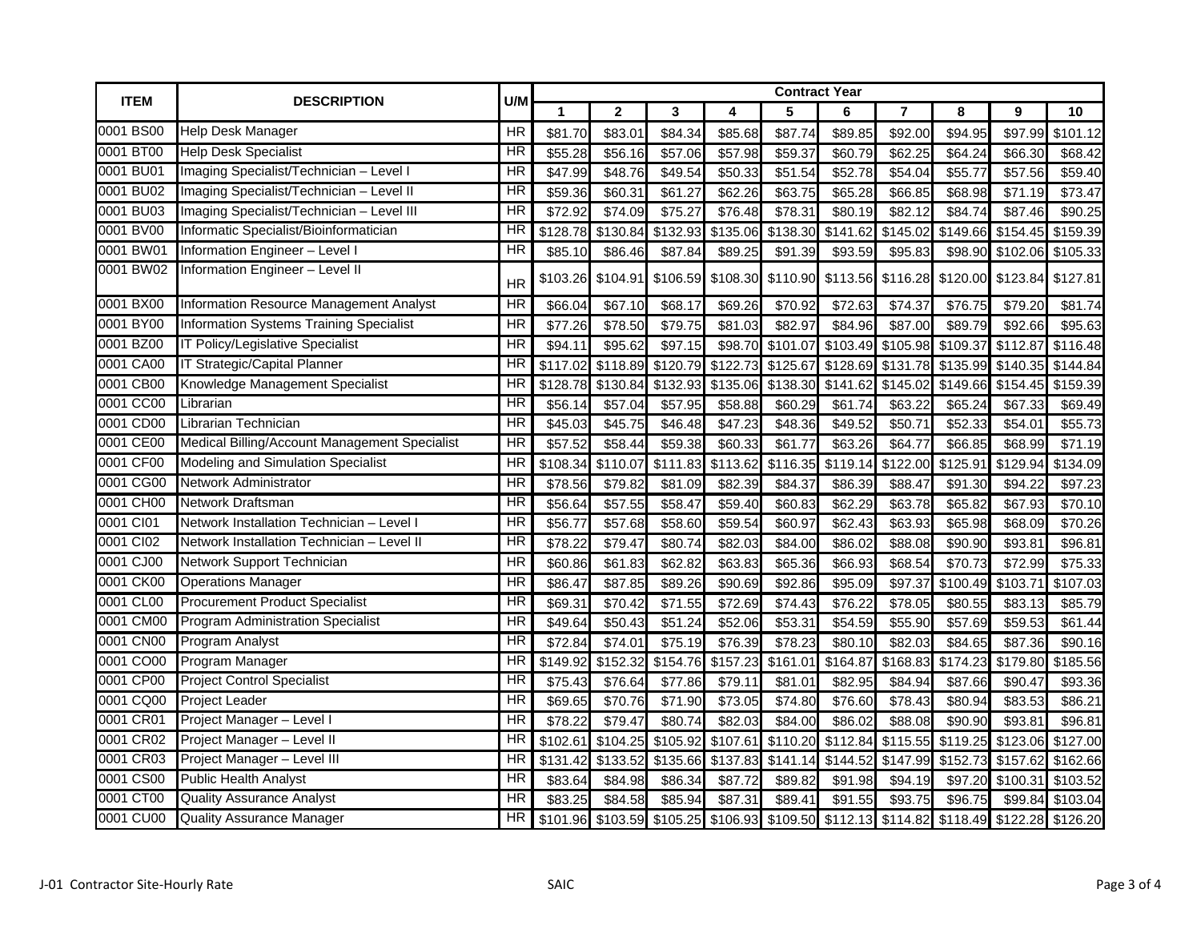| <b>ITEM</b> | <b>DESCRIPTION</b>                            | U/M                      | <b>Contract Year</b> |              |          |          |          |                            |                |          |                                                                                           |          |  |
|-------------|-----------------------------------------------|--------------------------|----------------------|--------------|----------|----------|----------|----------------------------|----------------|----------|-------------------------------------------------------------------------------------------|----------|--|
|             |                                               |                          | 1                    | $\mathbf{2}$ | 3        | 4        | 5        | 6                          | $\overline{7}$ | 8        | 9                                                                                         | 10       |  |
| 0001 BS00   | <b>Help Desk Manager</b>                      | <b>HR</b>                | \$81.70              | \$83.0       | \$84.34  | \$85.68  | \$87.74  | \$89.85                    | \$92.00        | \$94.95  | \$97.99                                                                                   | \$101.12 |  |
| 0001 BT00   | <b>Help Desk Specialist</b>                   | HR                       | \$55.28              | \$56.16      | \$57.06  | \$57.98  | \$59.37  | \$60.79                    | \$62.25        | \$64.24  | \$66.30                                                                                   | \$68.42  |  |
| 0001 BU01   | Imaging Specialist/Technician - Level I       | HR                       | \$47.99              | \$48.76      | \$49.54  | \$50.33  | \$51.54  | \$52.78                    | \$54.04        | \$55.77  | \$57.56                                                                                   | \$59.40  |  |
| 0001 BU02   | Imaging Specialist/Technician - Level II      | HR                       | \$59.36              | \$60.31      | \$61.27  | \$62.26  | \$63.75  | \$65.28                    | \$66.85        | \$68.98  | \$71.19                                                                                   | \$73.47  |  |
| 0001 BU03   | Imaging Specialist/Technician - Level III     | HR                       | \$72.92              | \$74.09      | \$75.27  | \$76.48  | \$78.31  | \$80.19                    | \$82.12        | \$84.74  | \$87.46                                                                                   | \$90.25  |  |
| 0001 BV00   | Informatic Specialist/Bioinformatician        | <b>HR</b>                | \$128.78             | \$130.84     | \$132.93 | \$135.06 | \$138.30 | \$141.62                   | \$145.02       | \$149.66 | \$154.45                                                                                  | \$159.39 |  |
| 0001 BW01   | Information Engineer - Level I                | ΗR                       | \$85.10              | \$86.46      | \$87.84  | \$89.25  | \$91.39  | \$93.59                    | \$95.83        | \$98.90  | \$102.06                                                                                  | \$105.33 |  |
| 0001 BW02   | Information Engineer - Level II               | <b>HR</b>                | \$103.26             | \$104.91     | \$106.59 |          |          | \$108.30 \$110.90 \$113.56 | \$116.28       |          | \$120.00 \$123.84 \$127.81                                                                |          |  |
| 0001 BX00   | Information Resource Management Analyst       | <b>HR</b>                | \$66.04              | \$67.10      | \$68.17  | \$69.26  | \$70.92  | \$72.63                    | \$74.37        | \$76.75  | \$79.20                                                                                   | \$81.74  |  |
| 0001 BY00   | Information Systems Training Specialist       | <b>HR</b>                | \$77.26              | \$78.50      | \$79.75  | \$81.03  | \$82.97  | \$84.96                    | \$87.00        | \$89.79  | \$92.66                                                                                   | \$95.63  |  |
| 0001 BZ00   | IT Policy/Legislative Specialist              | <b>HR</b>                | \$94.11              | \$95.62      | \$97.15  | \$98.70  | \$101.07 | \$103.49                   | \$105.98       | \$109.37 | \$112.87                                                                                  | \$116.48 |  |
| 0001 CA00   | <b>IT Strategic/Capital Planner</b>           | ΗR                       | \$117.02             | \$118.89     | \$120.79 | \$122.73 | \$125.67 | \$128.69                   | \$131.78       | \$135.99 | \$140.35                                                                                  | \$144.84 |  |
| 0001 CB00   | Knowledge Management Specialist               | $\overline{\mathsf{HR}}$ | \$128.78             | \$130.84     | \$132.93 | \$135.06 | \$138.30 | \$141.62                   | \$145.02       | \$149.66 | \$154.45                                                                                  | \$159.39 |  |
| 0001 CC00   | Librarian                                     | HR                       | \$56.14              | \$57.04      | \$57.95  | \$58.88  | \$60.29  | \$61.74                    | \$63.22        | \$65.24  | \$67.33                                                                                   | \$69.49  |  |
| 0001 CD00   | Librarian Technician                          | <b>HR</b>                | \$45.03              | \$45.75      | \$46.48  | \$47.23  | \$48.36  | \$49.52                    | \$50.71        | \$52.33  | \$54.01                                                                                   | \$55.73  |  |
| 0001 CE00   | Medical Billing/Account Management Specialist | HR                       | \$57.52              | \$58.44      | \$59.38  | \$60.33  | \$61.77  | \$63.26                    | \$64.77        | \$66.85  | \$68.99                                                                                   | \$71.19  |  |
| 0001 CF00   | <b>Modeling and Simulation Specialist</b>     | $\overline{\mathsf{HR}}$ | \$108.34             | \$110.07     | \$111.83 | \$113.62 | \$116.35 | \$119.14                   | \$122.00       | \$125.91 | \$129.94                                                                                  | \$134.09 |  |
| 0001 CG00   | <b>Network Administrator</b>                  | <b>HR</b>                | \$78.56              | \$79.82      | \$81.09  | \$82.39  | \$84.37  | \$86.39                    | \$88.47        | \$91.30  | \$94.22                                                                                   | \$97.23  |  |
| 0001 CH00   | Network Draftsman                             | HR                       | \$56.64              | \$57.55      | \$58.47  | \$59.40  | \$60.83  | \$62.29                    | \$63.78        | \$65.82  | \$67.93                                                                                   | \$70.10  |  |
| 0001 Cl01   | Network Installation Technician - Level I     | HR                       | \$56.77              | \$57.68      | \$58.60  | \$59.54  | \$60.97  | \$62.43                    | \$63.93        | \$65.98  | \$68.09                                                                                   | \$70.26  |  |
| 0001 Cl02   | Network Installation Technician - Level II    | HR                       | \$78.22              | \$79.47      | \$80.74  | \$82.03  | \$84.00  | \$86.02                    | \$88.08        | \$90.90  | \$93.81                                                                                   | \$96.81  |  |
| 0001 CJ00   | Network Support Technician                    | $\overline{\mathsf{HR}}$ | \$60.86              | \$61.83      | \$62.82  | \$63.83  | \$65.36  | \$66.93                    | \$68.54        | \$70.73  | \$72.99                                                                                   | \$75.33  |  |
| 0001 CK00   | <b>Operations Manager</b>                     | ΗR                       | \$86.47              | \$87.85      | \$89.26  | \$90.69  | \$92.86  | \$95.09                    | \$97.37        | \$100.49 | \$103.7'                                                                                  | \$107.03 |  |
| 0001 CL00   | <b>Procurement Product Specialist</b>         | <b>HR</b>                | \$69.31              | \$70.42      | \$71.55  | \$72.69  | \$74.43  | \$76.22                    | \$78.05        | \$80.55  | \$83.13                                                                                   | \$85.79  |  |
| 0001 CM00   | <b>Program Administration Specialist</b>      | <b>HR</b>                | \$49.64              | \$50.43      | \$51.24  | \$52.06  | \$53.31  | \$54.59                    | \$55.90        | \$57.69  | \$59.53                                                                                   | \$61.44  |  |
| 0001 CN00   | Program Analyst                               | HR                       | \$72.84              | \$74.01      | \$75.19  | \$76.39  | \$78.23  | \$80.10                    | \$82.03        | \$84.65  | \$87.36                                                                                   | \$90.16  |  |
| 0001 CO00   | Program Manager                               | HR                       | \$149.92             | \$152.32     | \$154.76 | \$157.23 | \$161.01 | \$164.87                   | \$168.83       | \$174.23 | \$179.80                                                                                  | \$185.56 |  |
| 0001 CP00   | <b>Project Control Specialist</b>             | <b>HR</b>                | \$75.43              | \$76.64      | \$77.86  | \$79.11  | \$81.01  | \$82.95                    | \$84.94        | \$87.66  | \$90.47                                                                                   | \$93.36  |  |
| 0001 CQ00   | <b>Project Leader</b>                         | ΗR                       | \$69.65              | \$70.76      | \$71.90  | \$73.05  | \$74.80  | \$76.60                    | \$78.43        | \$80.94  | \$83.53                                                                                   | \$86.21  |  |
| 0001 CR01   | Project Manager - Level I                     | HR                       | \$78.22              | \$79.47      | \$80.74  | \$82.03  | \$84.00  | \$86.02                    | \$88.08        | \$90.90  | \$93.81                                                                                   | \$96.81  |  |
| 0001 CR02   | Project Manager - Level II                    | HR                       | \$102.61             | \$104.25     | \$105.92 | \$107.61 | \$110.20 | \$112.84                   | \$115.55       | \$119.25 | \$123.06                                                                                  | \$127.00 |  |
| 0001 CR03   | Project Manager - Level III                   | ΗR                       | \$131.42             | \$133.52     | \$135.66 | \$137.83 | \$141.14 | \$144.52                   | \$147.99       | \$152.73 | \$157.62                                                                                  | \$162.66 |  |
| 0001 CS00   | <b>Public Health Analyst</b>                  | ΗR                       | \$83.64              | \$84.98      | \$86.34  | \$87.72  | \$89.82  | \$91.98                    | \$94.19        | \$97.20  | \$100.31                                                                                  | \$103.52 |  |
| 0001 CT00   | <b>Quality Assurance Analyst</b>              | ΗR                       | \$83.25              | \$84.58      | \$85.94  | \$87.31  | \$89.41  | \$91.55                    | \$93.75        | \$96.75  | \$99.84                                                                                   | \$103.04 |  |
| 0001 CU00   | <b>Quality Assurance Manager</b>              | HR                       |                      |              |          |          |          |                            |                |          | \$101.96 \$103.59 \$105.25 \$106.93 \$109.50 \$112.13 \$114.82 \$118.49 \$122.28 \$126.20 |          |  |